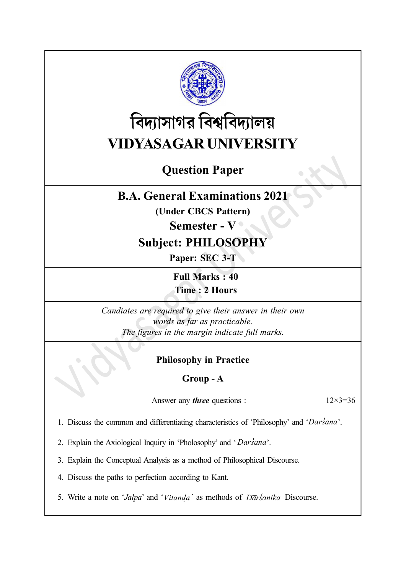

# বিদ্যাসাগর বিশ্ববিদ্যালয় VIDYASAGAR UNIVERSITY

## Question Paper

## B.A. General Examinations 2021

(Under CBCS Pattern)

### Semester - V

## Subject: PHILOSOPHY

Paper: SEC 3-T

Full Marks : 40 Time : 2 Hours

Candiates are required to give their answer in their own words as far as practicable. The figures in the margin indicate full marks.

### Philosophy in Practice

#### Group - A

Answer any *three* questions :  $12 \times 3 = 36$ 

1. Discuss the common and differentiating characteristics of 'Philosophy' and 'Darsana'.

2. Explain the Axiological Inquiry in 'Pholosophy' and ' Darsana'.

3. Explain the Conceptual Analysis as a method of Philosophical Discourse.

4. Discuss the paths to perfection according to Kant.

5. Write a note on 'Jalpa' and 'Vitanda Î, ' as methods of  $D\overline{a}$ rsanika Discourse.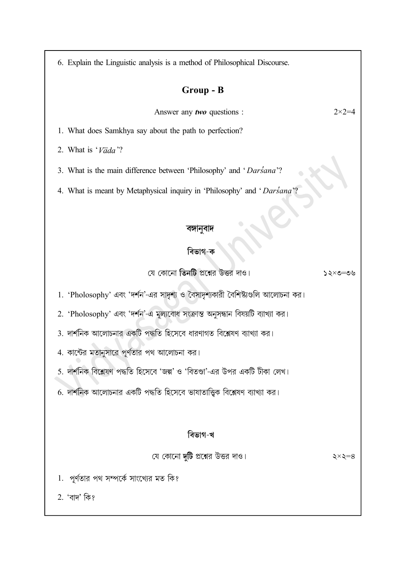6. Explain the Linguistic analysis is a method of Philosophical Discourse.

#### Group - B

Answer any *two* questions :  $2 \times 2 = 4$ 

1. What does Samkhya say about the path to perfection?

2. What is  $\sqrt{a}da$  ?

3. What is the main difference between 'Philosophy' and ' Darsana'?

4. What is meant by Metaphysical inquiry in 'Philosophy' and ' Darsana'?

#### বিভাগ-ক

যে কোনো তিনটি প্রশ্নের উত্তর দাও।  $\mathcal{Y} \in \mathcal{S} \times \mathcal{S}$  হৈ

1. 'Pholosophy' এবং 'দর্শন'-এর সাদৃশ্য ও বৈসাদৃশ্যকারী বৈশিষ্ট্যগুলি আলোচনা কর।

2. 'Pholosophy' এবং 'দর্শন'-এ মূল্যবোধ সংক্রান্ত অনুসন্ধান বিষয়টি ব্যাখ্যা কর।

3. দার্শনিক আলোচনার একটি পদ্ধতি হিসেবে ধারণাগত বিশ্লেষণ ব্যাখ্যা কর।

4. কান্টের মতানুসারে পূর্ণতার পথ আলোচনা কর।

5. দার্শনিক বিশ্লেষণ পদ্ধতি হিসেবে 'জল্প' ও 'বিতণ্ডা'-এর উপর একটি টীকা লেখ।

6. দার্শনিক আলোচনার একটি পদ্ধতি হিসেবে ভাষাতাত্তিক বিশ্লেষণ ব্যাখ্যা কর।

#### বিভাগ-খ

যে কোনো দুটি প্রশ্নের উত্তর দাও।

 $\xi \times \xi = 8$ 

1. পূর্ণতার পথ সম্পর্কে সাংখ্যের মত কি?

2. 'বাদ' কি?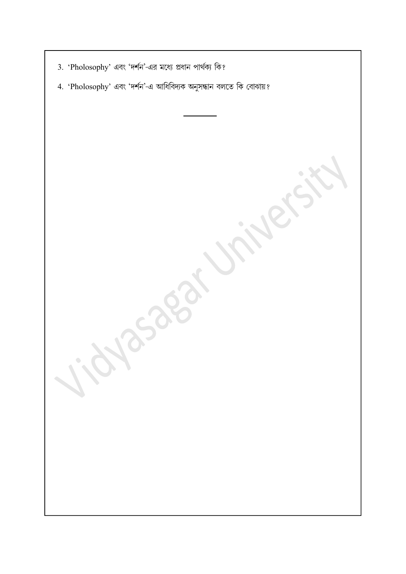| 3. 'Pholosophy' এবং 'দর্শন'-এর মধ্যে প্রধান পার্থক্য কি?          |
|-------------------------------------------------------------------|
| 4. 'Pholosophy' এবং 'দর্শন'-এ আধিবিদ্যক অনুসন্ধান বলতে কি বোঝায়? |
|                                                                   |
|                                                                   |
|                                                                   |
|                                                                   |
|                                                                   |
|                                                                   |
|                                                                   |
|                                                                   |
| 1.by                                                              |
|                                                                   |
|                                                                   |
|                                                                   |
|                                                                   |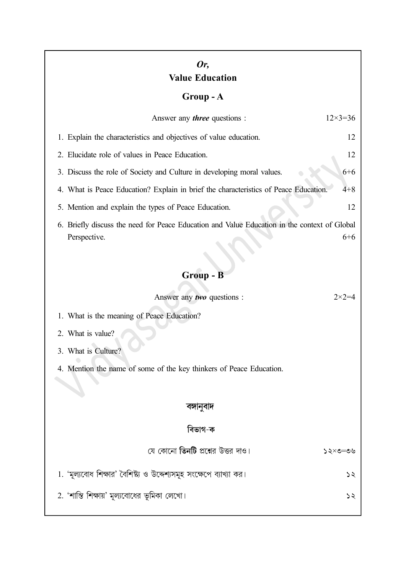## Or, Value Education

## Group - A

| Answer any <i>three</i> questions :                                                                                     | $12 \times 3 = 36$ |  |
|-------------------------------------------------------------------------------------------------------------------------|--------------------|--|
| 1. Explain the characteristics and objectives of value education.                                                       | 12                 |  |
| 2. Elucidate role of values in Peace Education.                                                                         | 12                 |  |
| 3. Discuss the role of Society and Culture in developing moral values.<br>$6 + 6$                                       |                    |  |
| 4. What is Peace Education? Explain in brief the characteristics of Peace Education.<br>$4 + 8$                         |                    |  |
| 5. Mention and explain the types of Peace Education.                                                                    | 12                 |  |
| 6. Briefly discuss the need for Peace Education and Value Education in the context of Global<br>$6 + 6$<br>Perspective. |                    |  |
| Group - B                                                                                                               |                    |  |
| Answer any two questions :                                                                                              | $2 \times 2 = 4$   |  |
| 1. What is the meaning of Peace Education?                                                                              |                    |  |
| 2. What is value?                                                                                                       |                    |  |
| 3. What is Culture?                                                                                                     |                    |  |
| 4. Mention the name of some of the key thinkers of Peace Education.                                                     |                    |  |
|                                                                                                                         |                    |  |
| বঙ্গানুবাদ                                                                                                              |                    |  |
| বিভাগ-ক                                                                                                                 |                    |  |
| যে কোনো <b>তিনটি</b> প্রশ্নের উত্তর দাও।                                                                                | ১২×৩=৩৬            |  |
| 1. 'মূল্যবোধ শিক্ষার' বৈশিষ্ট্য ও উদ্দেশ্যসমূহ সংক্ষেপে ব্যাখ্যা কর।                                                    | ১২                 |  |
| 2. 'শান্তি শিক্ষায়' মূল্যবোধের ভূমিকা লেখো।                                                                            | ১২                 |  |